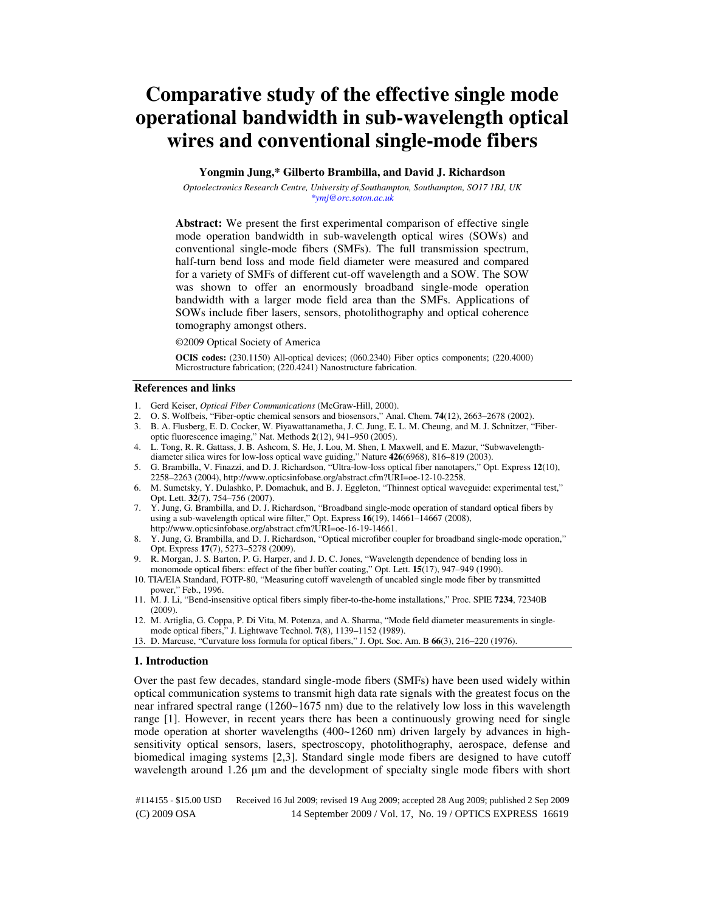# **Comparative study of the effective single mode operational bandwidth in sub-wavelength optical wires and conventional single-mode fibers**

## **Yongmin Jung,\* Gilberto Brambilla, and David J. Richardson**

*Optoelectronics Research Centre, University of Southampton, Southampton, SO17 1BJ, UK \*ymj@orc.soton.ac.uk* 

**Abstract:** We present the first experimental comparison of effective single mode operation bandwidth in sub-wavelength optical wires (SOWs) and conventional single-mode fibers (SMFs). The full transmission spectrum, half-turn bend loss and mode field diameter were measured and compared for a variety of SMFs of different cut-off wavelength and a SOW. The SOW was shown to offer an enormously broadband single-mode operation bandwidth with a larger mode field area than the SMFs. Applications of SOWs include fiber lasers, sensors, photolithography and optical coherence tomography amongst others.

#### ©2009 Optical Society of America

**OCIS codes:** (230.1150) All-optical devices; (060.2340) Fiber optics components; (220.4000) Microstructure fabrication; (220.4241) Nanostructure fabrication.

### **References and links**

- 1. Gerd Keiser, *Optical Fiber Communications* (McGraw-Hill, 2000).
- 2. O. S. Wolfbeis, "Fiber-optic chemical sensors and biosensors," Anal. Chem. **74**(12), 2663–2678 (2002).
- 3. B. A. Flusberg, E. D. Cocker, W. Piyawattanametha, J. C. Jung, E. L. M. Cheung, and M. J. Schnitzer, "Fiberoptic fluorescence imaging," Nat. Methods **2**(12), 941–950 (2005).
- 4. L. Tong, R. R. Gattass, J. B. Ashcom, S. He, J. Lou, M. Shen, I. Maxwell, and E. Mazur, "Subwavelengthdiameter silica wires for low-loss optical wave guiding," Nature **426**(6968), 816–819 (2003).
- 5. G. Brambilla, V. Finazzi, and D. J. Richardson, "Ultra-low-loss optical fiber nanotapers," Opt. Express **12**(10), 2258–2263 (2004), http://www.opticsinfobase.org/abstract.cfm?URI=oe-12-10-2258.
- 6. M. Sumetsky, Y. Dulashko, P. Domachuk, and B. J. Eggleton, "Thinnest optical waveguide: experimental test," Opt. Lett. **32**(7), 754–756 (2007).
- 7. Y. Jung, G. Brambilla, and D. J. Richardson, "Broadband single-mode operation of standard optical fibers by using a sub-wavelength optical wire filter," Opt. Express **16**(19), 14661–14667 (2008), http://www.opticsinfobase.org/abstract.cfm?URI=oe-16-19-14661.
- 8. Y. Jung, G. Brambilla, and D. J. Richardson, "Optical microfiber coupler for broadband single-mode operation," Opt. Express **17**(7), 5273–5278 (2009).
- 9. R. Morgan, J. S. Barton, P. G. Harper, and J. D. C. Jones, "Wavelength dependence of bending loss in monomode optical fibers: effect of the fiber buffer coating," Opt. Lett. **15**(17), 947–949 (1990).
- 10. TIA/EIA Standard, FOTP-80, "Measuring cutoff wavelength of uncabled single mode fiber by transmitted power," Feb., 1996.
- 11. M. J. Li, "Bend-insensitive optical fibers simply fiber-to-the-home installations," Proc. SPIE **7234**, 72340B (2009).
- 12. M. Artiglia, G. Coppa, P. Di Vita, M. Potenza, and A. Sharma, "Mode field diameter measurements in singlemode optical fibers," J. Lightwave Technol. **7**(8), 1139–1152 (1989).
- 13. D. Marcuse, "Curvature loss formula for optical fibers," J. Opt. Soc. Am. B **66**(3), 216–220 (1976).

### **1. Introduction**

Over the past few decades, standard single-mode fibers (SMFs) have been used widely within optical communication systems to transmit high data rate signals with the greatest focus on the near infrared spectral range (1260~1675 nm) due to the relatively low loss in this wavelength range [1]. However, in recent years there has been a continuously growing need for single mode operation at shorter wavelengths (400~1260 nm) driven largely by advances in highsensitivity optical sensors, lasers, spectroscopy, photolithography, aerospace, defense and biomedical imaging systems [2,3]. Standard single mode fibers are designed to have cutoff wavelength around 1.26  $\mu$ m and the development of specialty single mode fibers with short

(C) 2009 OSA 14 September 2009 / Vol. 17, No. 19 / OPTICS EXPRESS 16619 #114155 - \$15.00 USD Received 16 Jul 2009; revised 19 Aug 2009; accepted 28 Aug 2009; published 2 Sep 2009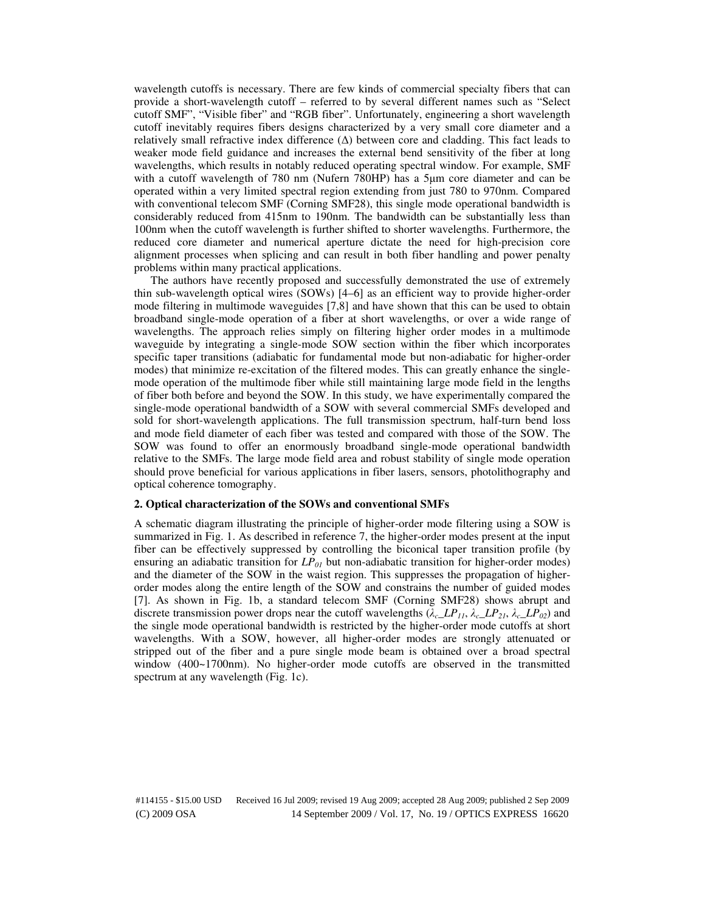wavelength cutoffs is necessary. There are few kinds of commercial specialty fibers that can provide a short-wavelength cutoff – referred to by several different names such as "Select cutoff SMF", "Visible fiber" and "RGB fiber". Unfortunately, engineering a short wavelength cutoff inevitably requires fibers designs characterized by a very small core diameter and a relatively small refractive index difference (∆) between core and cladding. This fact leads to weaker mode field guidance and increases the external bend sensitivity of the fiber at long wavelengths, which results in notably reduced operating spectral window. For example, SMF with a cutoff wavelength of 780 nm (Nufern 780HP) has a 5µm core diameter and can be operated within a very limited spectral region extending from just 780 to 970nm. Compared with conventional telecom SMF (Corning SMF28), this single mode operational bandwidth is considerably reduced from 415nm to 190nm. The bandwidth can be substantially less than 100nm when the cutoff wavelength is further shifted to shorter wavelengths. Furthermore, the reduced core diameter and numerical aperture dictate the need for high-precision core alignment processes when splicing and can result in both fiber handling and power penalty problems within many practical applications.

The authors have recently proposed and successfully demonstrated the use of extremely thin sub-wavelength optical wires (SOWs) [4–6] as an efficient way to provide higher-order mode filtering in multimode waveguides [7,8] and have shown that this can be used to obtain broadband single-mode operation of a fiber at short wavelengths, or over a wide range of wavelengths. The approach relies simply on filtering higher order modes in a multimode waveguide by integrating a single-mode SOW section within the fiber which incorporates specific taper transitions (adiabatic for fundamental mode but non-adiabatic for higher-order modes) that minimize re-excitation of the filtered modes. This can greatly enhance the singlemode operation of the multimode fiber while still maintaining large mode field in the lengths of fiber both before and beyond the SOW. In this study, we have experimentally compared the single-mode operational bandwidth of a SOW with several commercial SMFs developed and sold for short-wavelength applications. The full transmission spectrum, half-turn bend loss and mode field diameter of each fiber was tested and compared with those of the SOW. The SOW was found to offer an enormously broadband single-mode operational bandwidth relative to the SMFs. The large mode field area and robust stability of single mode operation should prove beneficial for various applications in fiber lasers, sensors, photolithography and optical coherence tomography.

## **2. Optical characterization of the SOWs and conventional SMFs**

A schematic diagram illustrating the principle of higher-order mode filtering using a SOW is summarized in Fig. 1. As described in reference 7, the higher-order modes present at the input fiber can be effectively suppressed by controlling the biconical taper transition profile (by ensuring an adiabatic transition for *LP01* but non-adiabatic transition for higher-order modes) and the diameter of the SOW in the waist region. This suppresses the propagation of higherorder modes along the entire length of the SOW and constrains the number of guided modes [7]. As shown in Fig. 1b, a standard telecom SMF (Corning SMF28) shows abrupt and discrete transmission power drops near the cutoff wavelengths  $(\lambda_c \angle LP_{11}, \lambda_c \angle LP_{21}, \lambda_c \angle LP_{02})$  and the single mode operational bandwidth is restricted by the higher-order mode cutoffs at short wavelengths. With a SOW, however, all higher-order modes are strongly attenuated or stripped out of the fiber and a pure single mode beam is obtained over a broad spectral window (400~1700nm). No higher-order mode cutoffs are observed in the transmitted spectrum at any wavelength (Fig. 1c).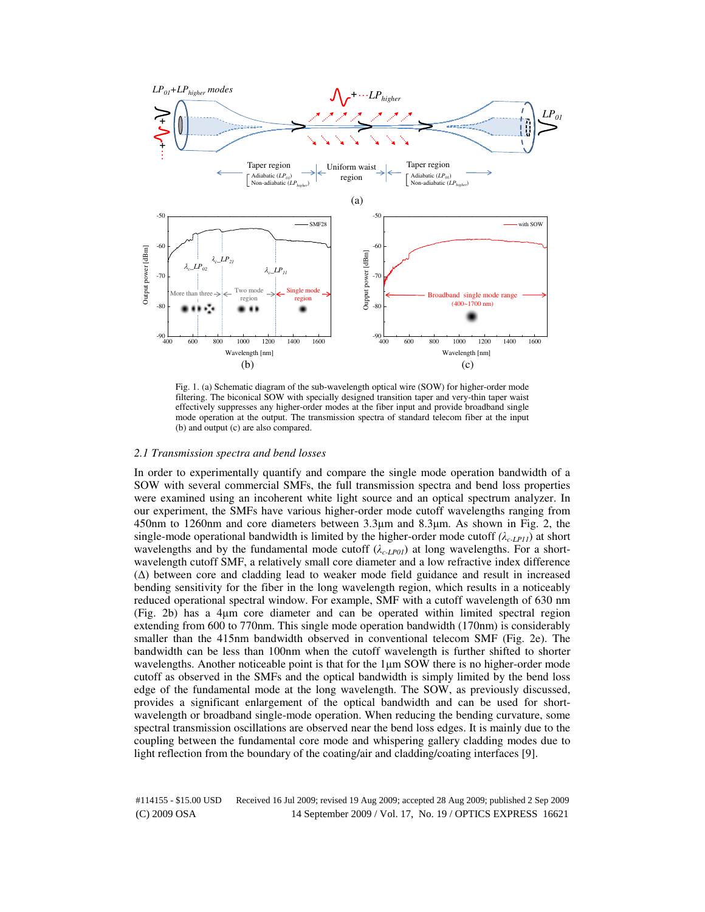

Fig. 1. (a) Schematic diagram of the sub-wavelength optical wire (SOW) for higher-order mode filtering. The biconical SOW with specially designed transition taper and very-thin taper waist effectively suppresses any higher-order modes at the fiber input and provide broadband single mode operation at the output. The transmission spectra of standard telecom fiber at the input (b) and output (c) are also compared.

## *2.1 Transmission spectra and bend losses*

In order to experimentally quantify and compare the single mode operation bandwidth of a SOW with several commercial SMFs, the full transmission spectra and bend loss properties were examined using an incoherent white light source and an optical spectrum analyzer. In our experiment, the SMFs have various higher-order mode cutoff wavelengths ranging from 450nm to 1260nm and core diameters between 3.3µm and 8.3µm. As shown in Fig. 2, the single-mode operational bandwidth is limited by the higher-order mode cutoff  $(\lambda_{c\text{-}LPI1})$  at short wavelengths and by the fundamental mode cutoff  $(\lambda_{c-LP01})$  at long wavelengths. For a shortwavelength cutoff SMF, a relatively small core diameter and a low refractive index difference (∆) between core and cladding lead to weaker mode field guidance and result in increased bending sensitivity for the fiber in the long wavelength region, which results in a noticeably reduced operational spectral window. For example, SMF with a cutoff wavelength of 630 nm (Fig. 2b) has a 4µm core diameter and can be operated within limited spectral region extending from 600 to 770nm. This single mode operation bandwidth (170nm) is considerably smaller than the 415nm bandwidth observed in conventional telecom SMF (Fig. 2e). The bandwidth can be less than 100nm when the cutoff wavelength is further shifted to shorter wavelengths. Another noticeable point is that for the 1µm SOW there is no higher-order mode cutoff as observed in the SMFs and the optical bandwidth is simply limited by the bend loss edge of the fundamental mode at the long wavelength. The SOW, as previously discussed, provides a significant enlargement of the optical bandwidth and can be used for shortwavelength or broadband single-mode operation. When reducing the bending curvature, some spectral transmission oscillations are observed near the bend loss edges. It is mainly due to the coupling between the fundamental core mode and whispering gallery cladding modes due to light reflection from the boundary of the coating/air and cladding/coating interfaces [9].

(C) 2009 OSA 14 September 2009 / Vol. 17, No. 19 / OPTICS EXPRESS 16621 #114155 - \$15.00 USD Received 16 Jul 2009; revised 19 Aug 2009; accepted 28 Aug 2009; published 2 Sep 2009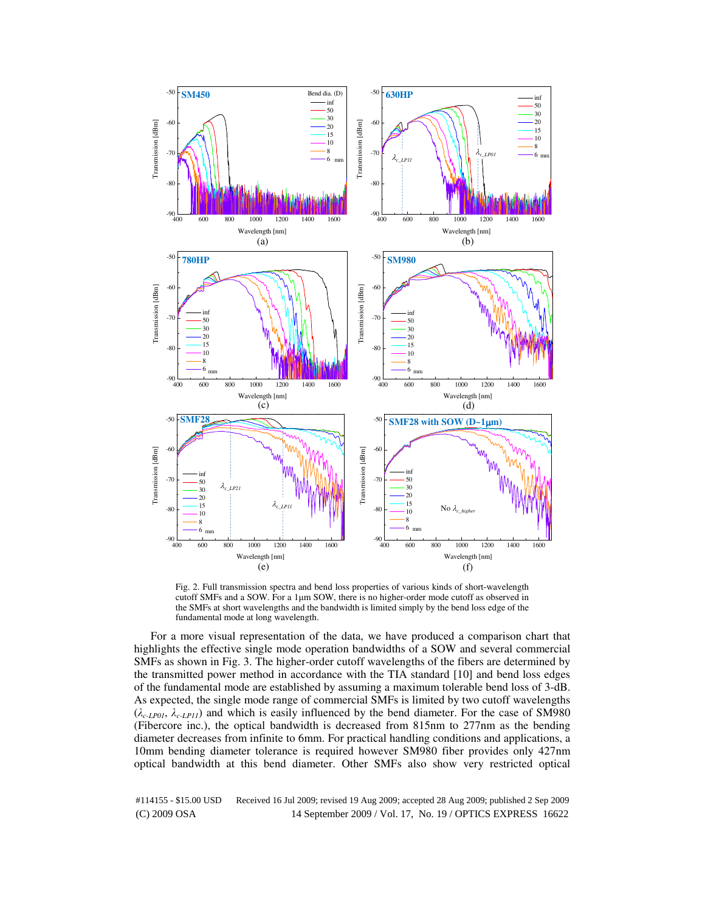

Fig. 2. Full transmission spectra and bend loss properties of various kinds of short-wavelength cutoff SMFs and a SOW. For a 1µm SOW, there is no higher-order mode cutoff as observed in the SMFs at short wavelengths and the bandwidth is limited simply by the bend loss edge of the fundamental mode at long wavelength.

For a more visual representation of the data, we have produced a comparison chart that highlights the effective single mode operation bandwidths of a SOW and several commercial SMFs as shown in Fig. 3. The higher-order cutoff wavelengths of the fibers are determined by the transmitted power method in accordance with the TIA standard [10] and bend loss edges of the fundamental mode are established by assuming a maximum tolerable bend loss of 3-dB. As expected, the single mode range of commercial SMFs is limited by two cutoff wavelengths (λ*c-LP01*, λ*c-LP11*) and which is easily influenced by the bend diameter. For the case of SM980 (Fibercore inc.), the optical bandwidth is decreased from 815nm to 277nm as the bending diameter decreases from infinite to 6mm. For practical handling conditions and applications, a 10mm bending diameter tolerance is required however SM980 fiber provides only 427nm optical bandwidth at this bend diameter. Other SMFs also show very restricted optical

(C) 2009 OSA 14 September 2009 / Vol. 17, No. 19 / OPTICS EXPRESS 16622 #114155 - \$15.00 USD Received 16 Jul 2009; revised 19 Aug 2009; accepted 28 Aug 2009; published 2 Sep 2009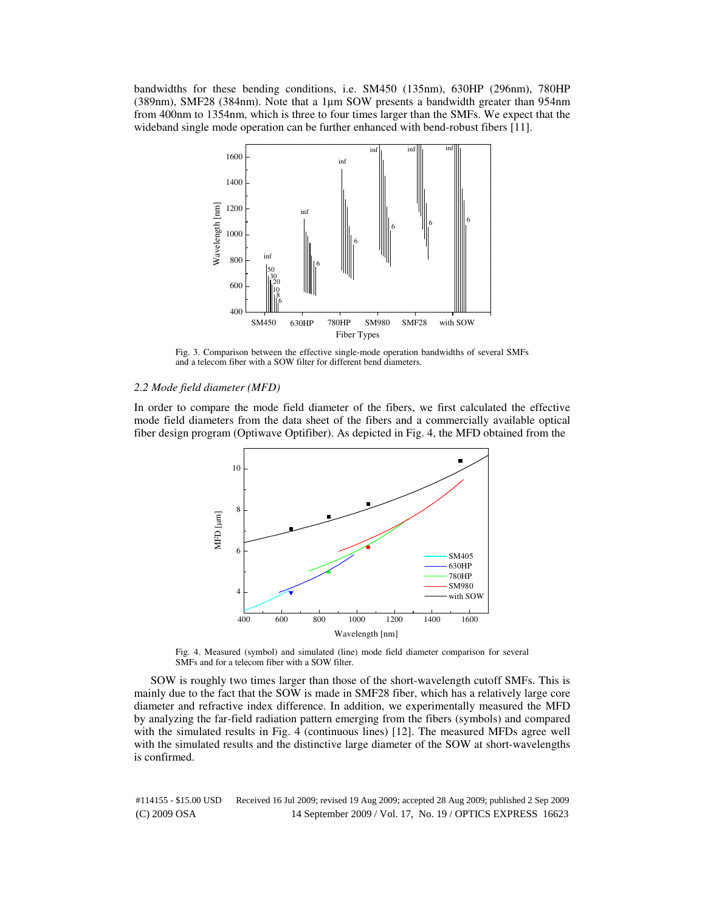bandwidths for these bending conditions, i.e. SM450 (135nm), 630HP (296nm), 780HP (389nm), SMF28 (384nm). Note that a 1µm SOW presents a bandwidth greater than 954nm from 400nm to 1354nm, which is three to four times larger than the SMFs. We expect that the wideband single mode operation can be further enhanced with bend-robust fibers [11].



Fig. 3. Comparison between the effective single-mode operation bandwidths of several SMFs and a telecom fiber with a SOW filter for different bend diameters.

## *2.2 Mode field diameter (MFD)*

In order to compare the mode field diameter of the fibers, we first calculated the effective mode field diameters from the data sheet of the fibers and a commercially available optical fiber design program (Optiwave Optifiber). As depicted in Fig. 4, the MFD obtained from the



Fig. 4. Measured (symbol) and simulated (line) mode field diameter comparison for several SMFs and for a telecom fiber with a SOW filter.

SOW is roughly two times larger than those of the short-wavelength cutoff SMFs. This is mainly due to the fact that the SOW is made in SMF28 fiber, which has a relatively large core diameter and refractive index difference. In addition, we experimentally measured the MFD by analyzing the far-field radiation pattern emerging from the fibers (symbols) and compared with the simulated results in Fig. 4 (continuous lines) [12]. The measured MFDs agree well with the simulated results and the distinctive large diameter of the SOW at short-wavelengths is confirmed.

(C) 2009 OSA 14 September 2009 / Vol. 17, No. 19 / OPTICS EXPRESS 16623 #114155 - \$15.00 USD Received 16 Jul 2009; revised 19 Aug 2009; accepted 28 Aug 2009; published 2 Sep 2009